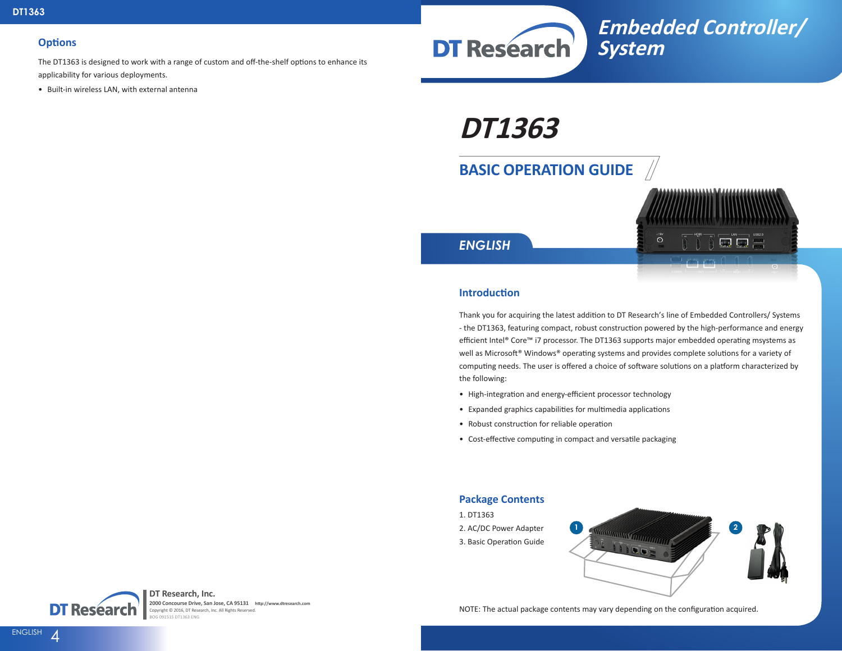#### **Options**

The DT1363 is designed to work with a range of custom and off-the-shelf options to enhance its applicability for various deployments.

• Built-in wireless LAN, with external antenna



**DT1363**

# **BASIC OPERATION GUIDE**



*ENGLISH*

#### **Introduction**

Thank you for acquiring the latest addition to DT Research's line of Embedded Controllers/ Systems - the DT1363, featuring compact, robust construction powered by the high-performance and energy efficient Intel® Core™ i7 processor. The DT1363 supports major embedded operating msystems as well as Microsoft® Windows® operating systems and provides complete solutions for a variety of computing needs. The user is offered a choice of software solutions on a platform characterized by the following:

- High-integration and energy-efficient processor technology
- Expanded graphics capabilities for multimedia applications
- Robust construction for reliable operation
- Cost-effective computing in compact and versatile packaging

#### **Package Contents**

- 1. DT1363
- 2. AC/DC Power Adapter
- 3. Basic Operation Guide





**DT Research, Inc. 2000 Concourse Drive, San Jose, CA 95131 http://www.dtresearch.com** Copyright © 2016, DT Research, Inc. All Rights Reserved. BOG 091515 DT1363 ENG

NOTE: The actual package contents may vary depending on the configuration acquired.